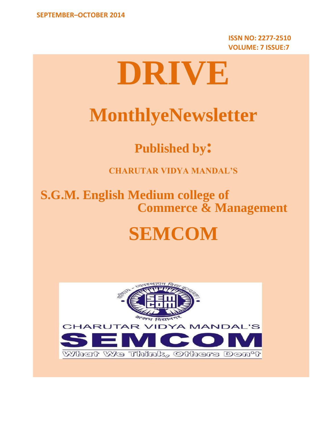**ISSN NO: 2277-2510 VOLUME: 7 ISSUE:7**

# **DRIVE**

## **MonthlyeNewsletter**

## **Published by:**

**CHARUTAR VIDYA MANDAL'S**

### **S.G.M. English Medium college of Commerce & Management**

## **SEMCOM**

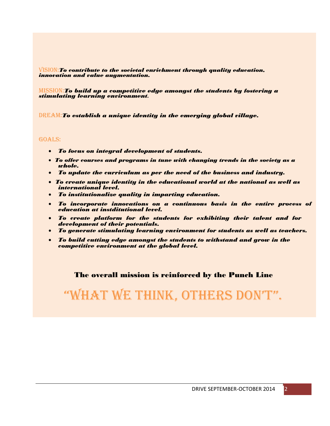VISION:*To contribute to the societal enrichment through quality education, innovation and value augmentation.*

MISSION:*To build up a competitive edge amongst the students by fostering a stimulating learning environment.*

DREAM:*To establish a unique identity in the emerging global village.*

#### GOALS:

- *To focus on integral development of students.*
- *To offer courses and programs in tune with changing trends in the society as a whole.*
- *To update the curriculum as per the need of the business and industry.*
- *To create unique identity in the educational world at the national as well as international level.*
- *To institutionalize quality in imparting education.*
- *To incorporate innovations on a continuous basis in the entire process of education at instditutional level.*
- *To create platform for the students for exhibiting their talent and for development of their potentials.*
- *To generate stimulating learning environment for students as well as teachers.*
- *To build cutting edge amongst the students to withstand and grow in the competitive environment at the global level.*

#### The overall mission is reinforced by the Punch Line

### "What We think, Others DOn't".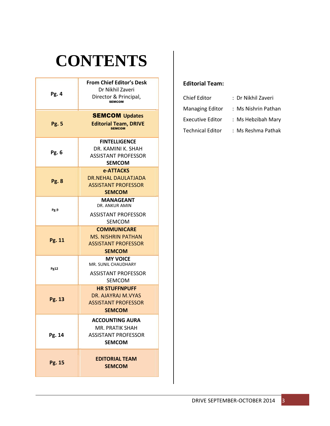## **CONTENTS**

| Pg. 4        | <b>From Chief Editor's Desk</b><br>Dr Nikhil Zaveri<br>Director & Principal,<br><b>SEMCOM</b>  |
|--------------|------------------------------------------------------------------------------------------------|
| <b>Pg. 5</b> | <b>SEMCOM Updates</b><br><b>Editorial Team, DRIVE</b><br><b>SEMCOM</b>                         |
| Pg. 6        | <b>FINTELLIGENCE</b><br>DR. KAMINI K. SHAH<br><b>ASSISTANT PROFESSOR</b><br><b>SEMCOM</b>      |
| <b>Pg. 8</b> | <b>e-ATTACKS</b><br><b>DR.NEHAL DAULATJADA</b><br><b>ASSISTANT PROFESSOR</b><br><b>SEMCOM</b>  |
| Pg.9         | <b>MANAGEANT</b><br><b>DR. ANKUR AMIN</b><br><b>ASSISTANT PROFESSOR</b><br><b>SEMCOM</b>       |
| Pg. 11       | <b>COMMUNICARE</b><br><b>MS. NISHRIN PATHAN</b><br><b>ASSISTANT PROFESSOR</b><br><b>SEMCOM</b> |
| <b>Pg12</b>  | <b>MY VOICE</b><br>MR. SUNIL CHAUDHARY<br><b>ASSISTANT PROFESSOR</b><br>SEMCOM                 |
| Pg. 13       | <b>HR STUFFNPUFF</b><br>DR. AJAYRAJ M. VYAS<br><b>ASSISTANT PROFESSOR</b><br><b>SEMCOM</b>     |
| Pg. 14       | ACCOUNTING AURA<br>MR. PRATIK SHAH<br><b>ASSISTANT PROFESSOR</b><br><b>SEMCOM</b>              |
| Pg. 15       | <b>EDITORIAL TEAM</b><br><b>SEMCOM</b>                                                         |

#### **Editorial Team:**

| Chief Editor            | : Dr Nikhil Zaveri  |
|-------------------------|---------------------|
| <b>Managing Editor</b>  | : Ms Nishrin Pathan |
| Executive Editor        | : Ms Hebzibah Mary  |
| <b>Technical Editor</b> | : Ms Reshma Pathak  |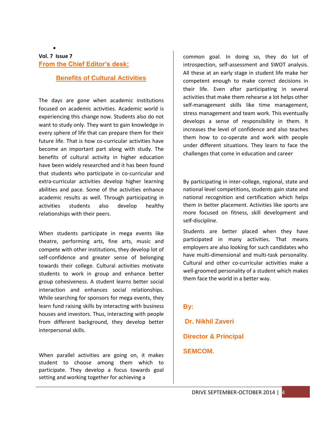#### **Vol. 7 Issue 7 From the Chief Editor's desk:**

 $\bullet$ 

#### **Benefits of Cultural Activities**

The days are gone when academic institutions focused on academic activities. Academic world is experiencing this change now. Students also do not want to study only. They want to gain knowledge in every sphere of life that can prepare them for their future life. That is how co-curricular activities have become an important part along with study. The benefits of cultural activity in higher education have been widely researched and it has been found that students who participate in co-curricular and extra-curricular activities develop higher learning abilities and pace. Some of the activities enhance academic results as well. Through participating in activities students also develop healthy relationships with their peers.

When students participate in mega events like theatre, performing arts, fine arts, music and compete with other institutions, they develop lot of self-confidence and greater sense of belonging towards their college. Cultural activities motivate students to work in group and enhance better group cohesiveness. A student learns better social interaction and enhances social relationships. While searching for sponsors for mega events, they learn fund raising skills by interacting with business houses and investors. Thus, interacting with people from different background, they develop better interpersonal skills.

When parallel activities are going on, it makes student to choose among them which to participate. They develop a focus towards goal setting and working together for achieving a

common goal. In doing so, they do lot of introspection, self-assessment and SWOT analysis. All these at an early stage in student life make her competent enough to make correct decisions in their life. Even after participating in several activities that make them rehearse a lot helps other self-management skills like time management, stress management and team work. This eventually develops a sense of responsibility in them. It increases the level of confidence and also teaches them how to co-operate and work with people under different situations. They learn to face the challenges that come in education and career

By participating in inter-college, regional, state and national level competitions, students gain state and national recognition and certification which helps them in better placement. Activities like sports are more focused on fitness, skill development and self-discipline.

Students are better placed when they have participated in many activities. That means employers are also looking for such candidates who have multi-dimensional and multi-task personality. Cultural and other co-curricular activities make a well-groomed personality of a student which makes them face the world in a better way.

#### **By:**

**Dr. Nikhil Zaveri Director & Principal SEMCOM.**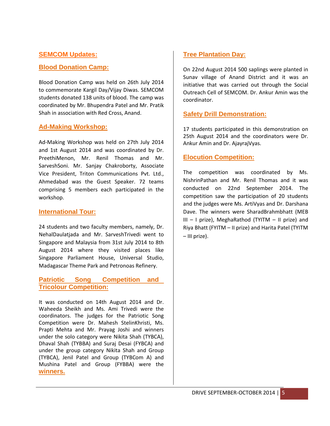#### **SEMCOM Updates:**

#### **Blood Donation Camp:**

Blood Donation Camp was held on 26th July 2014 to commemorate Kargil Day/Vijay Diwas. SEMCOM students donated 138 units of blood. The camp was coordinated by Mr. Bhupendra Patel and Mr. Pratik Shah in association with Red Cross, Anand.

#### **Ad-Making Workshop:**

Ad-Making Workshop was held on 27th July 2014 and 1st August 2014 and was coordinated by Dr. PreethiMenon, Mr. Renil Thomas and Mr. SarveshSoni. Mr. Sanjay Chakroborty, Associate Vice President, Triton Communications Pvt. Ltd., Ahmedabad was the Guest Speaker. 72 teams comprising 5 members each participated in the workshop.

#### **International Tour:**

24 students and two faculty members, namely, Dr. NehalDaulatjada and Mr. SarveshTrivedi went to Singapore and Malaysia from 31st July 2014 to 8th August 2014 where they visited places like Singapore Parliament House, Universal Studio, Madagascar Theme Park and Petronoas Refinery.

#### **Patriotic Song Competition and Tricolour Competition:**

It was conducted on 14th August 2014 and Dr. Waheeda Sheikh and Ms. Ami Trivedi were the coordinators. The judges for the Patriotic Song Competition were Dr. Mahesh StelinKhristi, Ms. Prapti Mehta and Mr. Prayag Joshi and winners under the solo category were Nikita Shah (TYBCA), Dhaval Shah (TYBBA) and Suraj Desai (FYBCA) and under the group category Nikita Shah and Group (TYBCA), Jenil Patel and Group (TYBCom A) and Mushina Patel and Group (FYBBA) were the **winners.**

#### **Tree Plantation Day:**

On 22nd August 2014 500 saplings were planted in Sunav village of Anand District and it was an initiative that was carried out through the Social Outreach Cell of SEMCOM. Dr. Ankur Amin was the coordinator.

#### **Safety Drill Demonstration:**

17 students participated in this demonstration on 25th August 2014 and the coordinators were Dr. Ankur Amin and Dr. AjayrajVyas.

#### **Elocution Competition:**

The competition was coordinated by Ms. NishrinPathan and Mr. Renil Thomas and it was conducted on 22nd September 2014. The competition saw the participation of 20 students and the judges were Ms. ArtiVyas and Dr. Darshana Dave. The winners were SharadBrahmbhatt (MEB III – I prize), MeghaRathod (TYITM – II prize) and Riya Bhatt (FYITM – II prize) and Harita Patel (TYITM – III prize).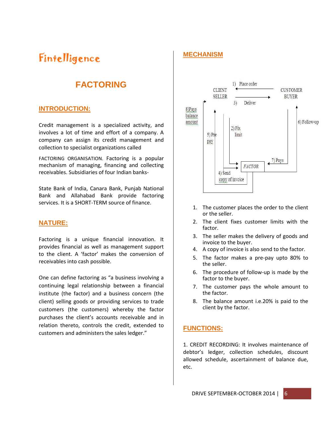### Fintelligence

#### **FACTORING**

#### **INTRODUCTION:**

Credit management is a specialized activity, and involves a lot of time and effort of a company. A company can assign its credit management and collection to specialist organizations called

FACTORING ORGANISATION. Factoring is a popular mechanism of managing, financing and collecting receivables. Subsidiaries of four Indian banks-

State Bank of India, Canara Bank, Punjab National Bank and Allahabad Bank provide factoring services. It is a SHORT-TERM source of finance.

#### **NATURE:**

Factoring is a unique financial innovation. It provides financial as well as management support to the client. A 'factor' makes the conversion of receivables into cash possible.

One can define factoring as "a business involving a continuing legal relationship between a financial institute (the factor) and a business concern (the client) selling goods or providing services to trade customers (the customers) whereby the factor purchases the client's accounts receivable and in relation thereto, controls the credit, extended to customers and administers the sales ledger."

#### **MECHANISM**



- 1. The customer places the order to the client or the seller.
- 2. The client fixes customer limits with the factor.
- 3. The seller makes the delivery of goods and invoice to the buyer.
- 4. A copy of invoice is also send to the factor.
- 5. The factor makes a pre-pay upto 80% to the seller.
- 6. The procedure of follow-up is made by the factor to the buyer.
- 7. The customer pays the whole amount to the factor.
- 8. The balance amount i.e.20% is paid to the client by the factor.

#### **FUNCTIONS:**

1. CREDIT RECORDING: It involves maintenance of debtor's ledger, collection schedules, discount allowed schedule, ascertainment of balance due, etc.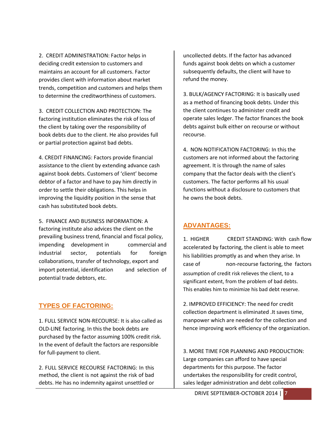2. CREDIT ADMINISTRATION: Factor helps in deciding credit extension to customers and maintains an account for all customers. Factor provides client with information about market trends, competition and customers and helps them to determine the creditworthiness of customers.

3. CREDIT COLLECTION AND PROTECTION: The factoring institution eliminates the risk of loss of the client by taking over the responsibility of book debts due to the client. He also provides full or partial protection against bad debts.

4. CREDIT FINANCING: Factors provide financial assistance to the client by extending advance cash against book debts. Customers of 'client' become debtor of a factor and have to pay him directly in order to settle their obligations. This helps in improving the liquidity position in the sense that cash has substituted book debts.

5. FINANCE AND BUSINESS INFORMATION: A factoring institute also advices the client on the prevailing business trend, financial and fiscal policy, impending development in commercial and industrial sector, potentials for foreign collaborations, transfer of technology, export and import potential, identification and selection of potential trade debtors, etc.

#### **TYPES OF FACTORING:**

1. FULL SERVICE NON-RECOURSE: It is also called as OLD-LINE factoring. In this the book debts are purchased by the factor assuming 100% credit risk. In the event of default the factors are responsible for full-payment to client.

2. FULL SERVICE RECOURSE FACTORING: In this method, the client is not against the risk of bad debts. He has no indemnity against unsettled or

uncollected debts. If the factor has advanced funds against book debts on which a customer subsequently defaults, the client will have to refund the money.

3. BULK/AGENCY FACTORING: It is basically used as a method of financing book debts. Under this the client continues to administer credit and operate sales ledger. The factor finances the book debts against bulk either on recourse or without recourse.

4. NON-NOTIFICATION FACTORING: In this the customers are not informed about the factoring agreement. It is through the name of sales company that the factor deals with the client's customers. The factor performs all his usual functions without a disclosure to customers that he owns the book debts.

#### **ADVANTAGES:**

1. HIGHER CREDIT STANDING: With cash flow accelerated by factoring, the client is able to meet his liabilities promptly as and when they arise. In case of non-recourse factoring, the factors assumption of credit risk relieves the client, to a significant extent, from the problem of bad debts. This enables him to minimize his bad debt reserve.

2. IMPROVED EFFICIENCY: The need for credit collection department is eliminated .It saves time, manpower which are needed for the collection and hence improving work efficiency of the organization.

3. MORE TIME FOR PLANNING AND PRODUCTION: Large companies can afford to have special departments for this purpose. The factor undertakes the responsibility for credit control, sales ledger administration and debt collection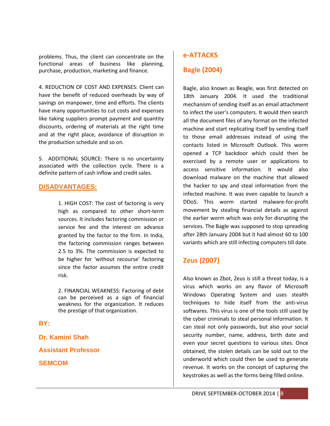problems. Thus, the client can concentrate on the functional areas of business like planning, purchase, production, marketing and finance.

4. REDUCTION OF COST AND EXPENSES: Client can have the benefit of reduced overheads by way of savings on manpower, time and efforts. The clients have many opportunities to cut costs and expenses like taking suppliers prompt payment and quantity discounts, ordering of materials at the right time and at the right place, avoidance of disruption in the production schedule and so on.

5. ADDITIONAL SOURCE: There is no uncertainty associated with the collection cycle. There is a definite pattern of cash inflow and credit sales.

#### **DISADVANTAGES:**

1. HIGH COST: The cost of factoring is very high as compared to other short-term sources. It includes factoring commission or service fee and the interest on advance granted by the factor to the firm. In India, the factoring commission ranges between 2.5 to 3%. The commission is expected to be higher for 'without recourse' factoring since the factor assumes the entire credit risk.

2. FINANCIAL WEAKNESS: Factoring of debt can be perceived as a sign of financial weakness for the organization. It reduces the prestige of that organization.

#### **BY:**

**Dr. Kamini Shah**

**Assistant Professor**

**SEMCOM**

#### **e-ATTACKS**:

#### **Bagle (2004)**

Bagle, also known as Beagle, was first detected on 18th January 2004. It used the traditional mechanism of sending itself as an email attachment to infect the user's computers. It would then search all the document files of any format on the infected machine and start replicating itself by sending itself to those email addresses instead of using the contacts listed in Microsoft Outlook. This worm opened a TCP backdoor which could then be exercised by a remote user or applications to access sensitive information. It would also download malware on the machine that allowed the hacker to spy and steal information from the infected machine. It was even capable to launch a DDoS. This worm started malware-for-profit movement by stealing financial details as against the earlier worm which was only for disrupting the services. The Bagle was supposed to stop spreading after 28th January 2004 but it had almost 60 to 100 variants which are still infecting computers till date.

#### **Zeus (2007)**

Also known as Zbot, Zeus is still a threat today, is a virus which works on any flavor of Microsoft Windows Operating System and uses stealth techniques to hide itself from the anti-virus softwares. This virus is one of the tools still used by the cyber criminals to steal personal information. It can steal not only passwords, but also your social security number, name, address, birth date and even your secret questions to various sites. Once obtained, the stolen details can be sold out to the underworld which could then be used to generate revenue. It works on the concept of capturing the keystrokes as well as the forms being filled online.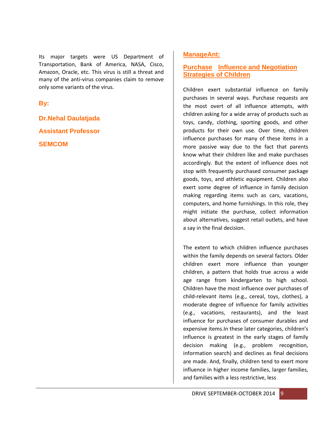Its major targets were US Department of Transportation, Bank of America, NASA, Cisco, Amazon, Oracle, etc. This virus is still a threat and many of the anti-virus companies claim to remove only some variants of the virus.

**By:**

**Dr.Nehal Daulatjada Assistant Professor SEMCOM**

#### **ManageAnt:**

#### **Purchase Influence and Negotiation Strategies of Children**

Children exert substantial influence on family purchases in several ways. Purchase requests are the most overt of all influence attempts, with children asking for a wide array of products such as toys, candy, clothing, sporting goods, and other products for their own use. Over time, children influence purchases for many of these items in a more passive way due to the fact that parents know what their children like and make purchases accordingly. But the extent of influence does not stop with frequently purchased consumer package goods, toys, and athletic equipment. Children also exert some degree of influence in family decision making regarding items such as cars, vacations, computers, and home furnishings. In this role, they might initiate the purchase, collect information about alternatives, suggest retail outlets, and have a say in the final decision.

The extent to which children influence purchases within the family depends on several factors. Older children exert more influence than younger children, a pattern that holds true across a wide age range from kindergarten to high school. Children have the most influence over purchases of child-relevant items (e.g., cereal, toys, clothes), a moderate degree of influence for family activities (e.g., vacations, restaurants), and the least influence for purchases of consumer durables and expensive items.In these later categories, children's influence is greatest in the early stages of family decision making (e.g., problem recognition, information search) and declines as final decisions are made. And, finally, children tend to exert more influence in higher income families, larger families, and families with a less restrictive, less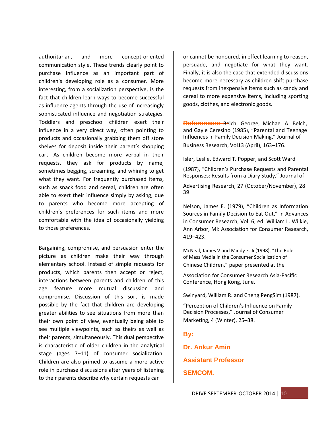authoritarian, and more concept-oriented communication style. These trends clearly point to purchase influence as an important part of children's developing role as a consumer. More interesting, from a socialization perspective, is the fact that children learn ways to become successful as influence agents through the use of increasingly sophisticated influence and negotiation strategies. Toddlers and preschool children exert their influence in a very direct way, often pointing to products and occasionally grabbing them off store shelves for deposit inside their parent's shopping cart. As children become more verbal in their requests, they ask for products by name, sometimes begging, screaming, and whining to get what they want. For frequently purchased items, such as snack food and cereal, children are often able to exert their influence simply by asking, due to parents who become more accepting of children's preferences for such items and more comfortable with the idea of occasionally yielding to those preferences.

Bargaining, compromise, and persuasion enter the picture as children make their way through elementary school. Instead of simple requests for products, which parents then accept or reject, interactions between parents and children of this age feature more mutual discussion and compromise. Discussion of this sort is made possible by the fact that children are developing greater abilities to see situations from more than their own point of view, eventually being able to see multiple viewpoints, such as theirs as well as their parents, simultaneously. This dual perspective is characteristic of older children in the analytical stage (ages 7–11) of consumer socialization. Children are also primed to assume a more active role in purchase discussions after years of listening to their parents describe why certain requests can

or cannot be honoured, in effect learning to reason, persuade, and negotiate for what they want. Finally, it is also the case that extended discussions become more necessary as children shift purchase requests from inexpensive items such as candy and cereal to more expensive items, including sporting goods, clothes, and electronic goods.

**References:** Belch, George, Michael A. Belch, and Gayle Ceresino (1985), "Parental and Teenage Influences in Family Decision Making," Journal of Business Research, Vol13 (April), 163–176.

Isler, Leslie, Edward T. Popper, and Scott Ward

(1987), "Children's Purchase Requests and Parental Responses: Results from a Diary Study," Journal of

Advertising Research, 27 (October/November), 28– 39.

Nelson, James E. (1979), "Children as Information Sources in Family Decision to Eat Out," in Advances in Consumer Research, Vol. 6, ed. William L. Wilkie, Ann Arbor, MI: Association for Consumer Research, 419–423.

McNeal, James V.and Mindy F. Ji (1998), "The Role of Mass Media in the Consumer Socialization of Chinese Children," paper presented at the

Association for Consumer Research Asia-Pacific Conference, Hong Kong, June.

Swinyard, William R. and Cheng PengSim (1987),

"Perception of Children's Influence on Family Decision Processes," Journal of Consumer Marketing, 4 (Winter), 25–38.

**By:**

**Dr. Ankur Amin Assistant Professor SEMCOM.**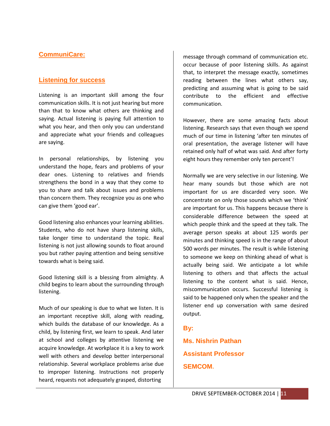#### **CommuniCare:**

#### **Listening for success**

Listening is an important skill among the four communication skills. It is not just hearing but more than that to know what others are thinking and saying. Actual listening is paying full attention to what you hear, and then only you can understand and appreciate what your friends and colleagues are saying.

In personal relationships, by listening you understand the hope, fears and problems of your dear ones. Listening to relatives and friends strengthens the bond in a way that they come to you to share and talk about issues and problems than concern them. They recognize you as one who can give them 'good ear'.

Good listening also enhances your learning abilities. Students, who do not have sharp listening skills, take longer time to understand the topic. Real listening is not just allowing sounds to float around you but rather paying attention and being sensitive towards what is being said.

Good listening skill is a blessing from almighty. A child begins to learn about the surrounding through listening.

Much of our speaking is due to what we listen. It is an important receptive skill, along with reading, which builds the database of our knowledge. As a child, by listening first, we learn to speak. And later at school and colleges by attentive listening we acquire knowledge. At workplace it is a key to work well with others and develop better interpersonal relationship. Several workplace problems arise due to improper listening. Instructions not properly heard, requests not adequately grasped, distorting

message through command of communication etc. occur because of poor listening skills. As against that, to interpret the message exactly, sometimes reading between the lines what others say, predicting and assuming what is going to be said contribute to the efficient and effective communication.

However, there are some amazing facts about listening. Research says that even though we spend much of our time in listening 'after ten minutes of oral presentation, the average listener will have retained only half of what was said. And after forty eight hours they remember only ten percent'!

Normally we are very selective in our listening. We hear many sounds but those which are not important for us are discarded very soon. We concentrate on only those sounds which we 'think' are important for us. This happens because there is considerable difference between the speed at which people think and the speed at they talk. The average person speaks at about 125 words per minutes and thinking speed is in the range of about 500 words per minutes. The result is while listening to someone we keep on thinking ahead of what is actually being said. We anticipate a lot while listening to others and that affects the actual listening to the content what is said. Hence, miscommunication occurs. Successful listening is said to be happened only when the speaker and the listener end up conversation with same desired output.

#### **By:**

**Ms. Nishrin Pathan Assistant Professor SEMCOM.**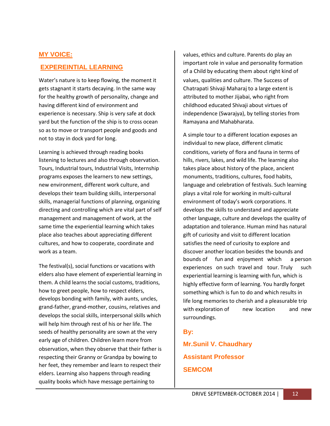#### **EXPEREINTIAL LEARNING**

Water's nature is to keep flowing, the moment it values, qualities and culture. The Success of gets stagnant it starts decaying. In the same way Chatrapati Shivaji Maharaj to a large extent is for the healthy growth of personality, change and **attributed to mother Jijabai**, who right from having different kind of environment and **childhood educated Shivaji about virtues of** experience is necessary. Ship is very safe at dock independence (Swarajya), by telling stories from yard but the function of the ship is to cross ocean  $\blacksquare$  Ramayana and Mahabharata. so as to move or transport people and goods and not to stay in dock yard for long.<br>
a simple tour to a different location exposes an not to stay in dock yard for long.

Learning is achieved through reading books **conditions** conditions, variety of flora and fauna in terms of listening to lectures and also through observation. hills, rivers, lakes, and wild life. The learning also Tours, Industrial tours, Industrial Visits, Internship takes place about history of the place, ancient programs exposes the learners to new settings, monuments, traditions, cultures, food habits, develops their team building skills, interpersonal plays a vital role for working in multi-cultural skills, managerial functions of planning, organizing environment of today's work corporations. It directing and controlling which are vital part of self develops the skills to understand and appreciate place also teaches about appreciating different **gift of curiosity and visit to different location** cultures, and how to cooperate, coordinate and satisfies the need of curiosity to explore and work as a team. discover another location besides the bounds and

elders also have element of experiential learning in  $\vert$  experiential learning is learning with fun, which is them. A child learns the social customs, traditions, highly effective form of learning. You hardly forget how to greet people, how to respect elders,<br>develops bonding with family, with aunts, uncles,<br>life long memories to cherish and a pleasurable tri develops the social skills, interpersonal skills which  $\left\vert \right\rangle$  surroundings. will help him through rest of his or her life. The seeds of healthy personality are sown at the very **By:** early age of children. Children learn more from **Mr.Sunil V. Chaudhary** observation, when they observe that their father is respecting their Granny or Grandpa by bowing to **Assistant Professor** her feet, they remember and learn to respect their elders. Learning also happens through reading quality books which have message pertaining to

**MY VOICE:** values, ethics and culture. Parents do play an important role in value and personality formation of a Child by educating them about right kind of

individual to new place, different climatic new environment, different work culture, and **integration** and celebration of festivals. Such learning management and management of work, at the **other language, culture and develops the quality of** same time the experiential learning which takes and adaptation and tolerance. Human mind has natural bounds of fun and enjoyment which a person The festival(s), social functions or vacations with experiences on such travel and tour. Truly such life long memories to cherish and a pleasurable trip grand-father, grand-mother, cousins, relatives and  $\parallel$  with exploration of new location and new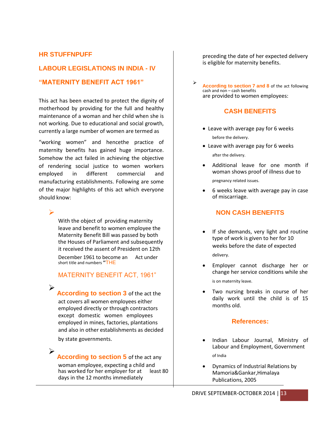#### **HR STUFFNPUFF**

 $\blacktriangleright$ 

 $\blacktriangleright$ 

#### **LABOUR LEGISLATIONS IN INDIA - IV**

#### **"MATERNITY BENEFIT ACT 1961"**

This act has been enacted to protect the dignity of motherhood by providing for the full and healthy maintenance of a woman and her child when she is not working. Due to educational and social growth, currently a large number of women are termed as

"working women" and hencethe practice of maternity benefits has gained huge importance. Somehow the act failed in achieving the objective of rendering social justice to women workers employed in different commercial and manufacturing establishments. Following are some of the major highlights of this act which everyone should know:

> With the object of providing maternity leave and benefit to women employee the Maternity Benefit Bill was passed by both the Houses of Parliament and subsequently it received the assent of President on 12th December 1961 to become an Act under short title and numbers **"**THE

#### MATERNITY BENEFIT ACT, 1961"

 $\blacktriangleright$ **According to section 3** of the act the act covers all women employees either employed directly or through contractors except domestic women employees employed in mines, factories, plantations and also in other establishments as decided by state governments.

**According to section 5** of the act any woman employee, expecting a child and has worked for her employer for at least 80 days in the 12 months immediately

preceding the date of her expected delivery is eligible for maternity benefits.

 $\blacktriangleright$ **According to section 7 and 8** of the act following cash and non – cash benefits are provided to women employees:

#### **CASH BENEFITS**

- Leave with average pay for 6 weeks before the delivery.
- Leave with average pay for 6 weeks after the delivery.
- Additional leave for one month if woman shows proof of illness due to

pregnancy related issues.

 6 weeks leave with average pay in case of miscarriage.

#### **NON CASH BENEFITS**

- If she demands, very light and routine type of work is given to her for 10 weeks before the date of expected delivery.
- Employer cannot discharge her or change her service conditions while she is on maternity leave.
- Two nursing breaks in course of her daily work until the child is of 15 months old.

#### **References:**

- Indian Labour Journal, Ministry of Labour and Employment, Government of India
- Dynamics of Industrial Relations by Mamoria&Gankar,Himalaya Publications, 2005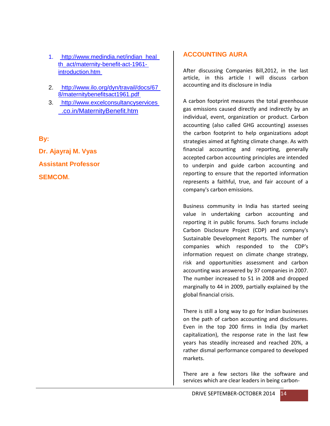- 1. [http://www.medindia.net/indian\\_heal](http://www.medindia.net/indian_health_act/maternity-benefit-act-1961-introduction.htm) [th\\_act/maternity-benefit-act-1961](http://www.medindia.net/indian_health_act/maternity-benefit-act-1961-introduction.htm) [introduction.](http://www.medindia.net/indian_health_act/maternity-benefit-act-1961-introduction.htm)htm
- 2. [http://www.ilo.org/dyn/travail/docs/67](http://www.ilo.org/dyn/travail/docs/678/maternitybenefitsact1961.pdf) [8/maternitybenefitsact1961.pdf](http://www.ilo.org/dyn/travail/docs/678/maternitybenefitsact1961.pdf)
- 3. [http://www.excelconsultancyservices](http://www.excelconsultancyservices.co.in/MaternityBenefit.htm) [.co.in/MaternityBenefit.htm](http://www.excelconsultancyservices.co.in/MaternityBenefit.htm)

**By:**

**Dr. Ajayraj M. Vyas Assistant Professor SEMCOM.**

#### **ACCOUNTING AURA**

After discussing Companies Bill,2012, in the last article, in this article I will discuss carbon accounting and its disclosure in India

A carbon footprint measures the total greenhouse gas emissions caused directly and indirectly by an individual, event, organization or product. Carbon accounting (also called GHG accounting) assesses the carbon footprint to help organizations adopt strategies aimed at fighting climate change. As with financial accounting and reporting, generally accepted carbon accounting principles are intended to underpin and guide carbon accounting and reporting to ensure that the reported information represents a faithful, true, and fair account of a company's carbon emissions.

Business community in India has started seeing value in undertaking carbon accounting and reporting it in public forums. Such forums include Carbon Disclosure Project (CDP) and company's Sustainable Development Reports. The number of companies which responded to the CDP's information request on climate change strategy, risk and opportunities assessment and carbon accounting was answered by 37 companies in 2007. The number increased to 51 in 2008 and dropped marginally to 44 in 2009, partially explained by the global financial crisis.

There is still a long way to go for Indian businesses on the path of carbon accounting and disclosures. Even in the top 200 firms in India (by market capitalization), the response rate in the last few years has steadily increased and reached 20%, a rather dismal performance compared to developed markets.

There are a few sectors like the software and services which are clear leaders in being carbon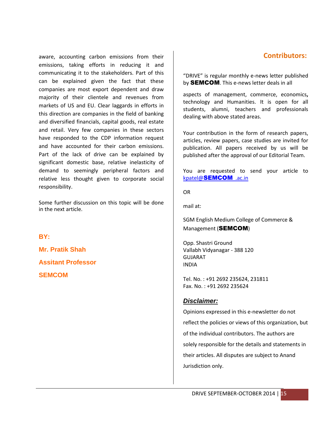aware, accounting carbon emissions from their emissions, taking efforts in reducing it and communicating it to the stakeholders. Part of this can be explained given the fact that these companies are most export dependent and draw majority of their clientele and revenues from markets of US and EU. Clear laggards in efforts in this direction are companies in the field of banking and diversified financials, capital goods, real estate and retail. Very few companies in these sectors have responded to the CDP information request and have accounted for their carbon emissions. Part of the lack of drive can be explained by significant domestic base, relative inelasticity of demand to seemingly peripheral factors and relative less thought given to corporate social responsibility.

Some further discussion on this topic will be done in the next article.

**BY:**

**Mr. Pratik Shah Assitant Professor SEMCOM**

#### **Contributors:**

"DRIVE" is regular monthly e-news letter published by **SEMCOM**. This e-news letter deals in all

aspects of management, commerce, economics**,** technology and Humanities. It is open for all students, alumni, teachers and professionals dealing with above stated areas.

Your contribution in the form of research papers, articles, review papers, case studies are invited for publication. All papers received by us will be published after the approval of our Editorial Team.

You are requested to send your article to [kpatel@](mailto:kpatel@semcom.ac.in)SEMCOM [.ac.](mailto:kpatel@semcom.ac.in)in

OR

mail at:

SGM English Medium College of Commerce & Management (SEMCOM)

Opp. Shastri Ground Vallabh Vidyanagar - 388 120 GUJARAT INDIA

Tel. No. : +91 2692 235624, 231811 Fax. No. : +91 2692 235624

#### *Disclaimer:*

Opinions expressed in this e-newsletter do not reflect the policies or views of this organization, but of the individual contributors. The authors are solely responsible for the details and statements in their articles. All disputes are subject to Anand Jurisdiction only.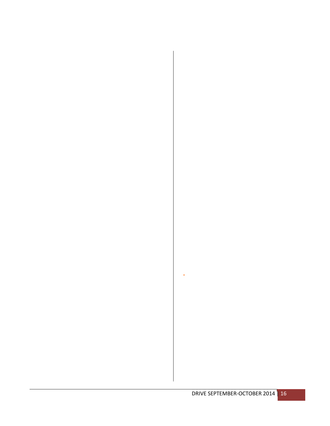#### DRIVE SEPTEMBER-OCTOBER 2014 | 16

**.**